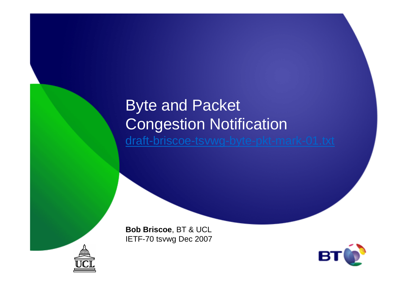#### Byte and Packet Congestion Notificationdraft-briscoe-tsvwg-byte-pkt-mark-01.txt

**Bob Briscoe**, BT & UCLIETF-70 tsvwg Dec 2007



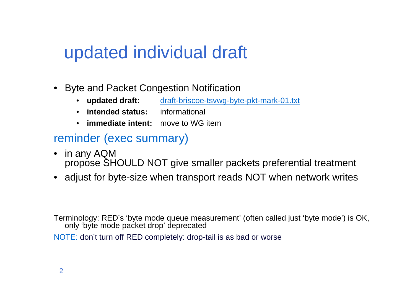## updated individual draft

- • Byte and Packet Congestion Notification
	- **updated draft:** draft-briscoe-tsvwg-byte-pkt-mark-01.txt  $\bullet$
	- $\bullet$ **intended status:** informational
	- •**immediate intent:** move to WG item

#### reminder (exec summary)

- • in any AQMpropose SHOULD NOT give smaller packets preferential treatment
- adjust for byte-size when transport reads NOT when network writes

Terminology: RED's 'byte mode queue measurement' (often called just 'byte mode') is OK, only 'byte mode packet drop' deprecated

NOTE: don't turn off RED completely: drop-tail is as bad or worse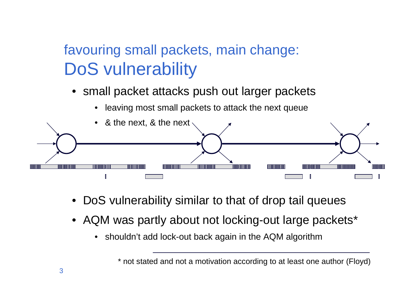## favouring small packets, main change:DoS vulnerability

- small packet attacks push out larger packets
	- •leaving most small packets to attack the next queue



- DoS vulnerability similar to that of drop tail queues
- AQM was partly about not locking-out large packets\*
	- $\bullet$ shouldn't add lock-out back again in the AQM algorithm

<sup>\*</sup> not stated and not a motivation according to at least one author (Floyd)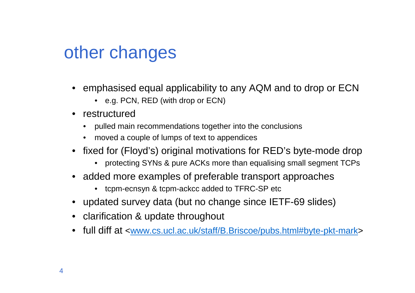## other changes

- emphasised equal applicability to any AQM and to drop or ECN
	- e.g. PCN, RED (with drop or ECN)
- restructured
	- •pulled main recommendations together into the conclusions
	- moved a couple of lumps of text to appendices
- fixed for (Floyd's) original motivations for RED's byte-mode drop
	- protecting SYNs & pure ACKs more than equalising small segment TCPs
- added more examples of preferable transport approaches
	- tcpm-ecnsyn & tcpm-ackcc added to TFRC-SP etc
- updated survey data (but no change since IETF-69 slides)
- clarification & update throughout
- full diff at <www.cs.ucl.ac.uk/staff/B.Briscoe/pubs.html#byte-pkt-mark>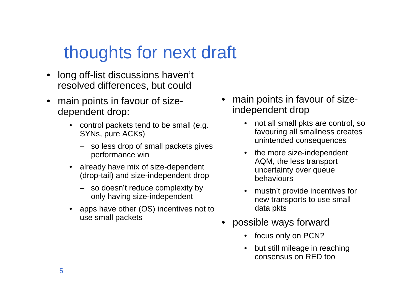# thoughts for next draft

- • long off-list discussions haven't resolved differences, but could
- • main points in favour of sizedependent drop:
	- control packets tend to be small (e.g. SYNs, pure ACKs)
		- so less drop of small packets gives performance win
	- $\bullet$  already have mix of size-dependent (drop-tail) and size-independent drop
		- so doesn't reduce complexity by only having size-independent
	- $\bullet$  apps have other (OS) incentives not to use small packets
- • main points in favour of sizeindependent drop
	- $\bullet$  not all small pkts are control, so favouring all smallness creates unintended consequences
	- • the more size-independent AQM, the less transport uncertainty over queue behaviours
	- • mustn't provide incentives for new transports to use small data pkts
- possible ways forward
	- •focus only on PCN?
	- • but still mileage in reaching consensus on RED too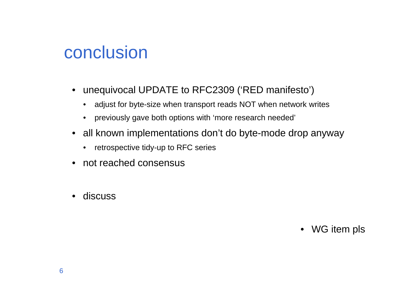### conclusion

- unequivocal UPDATE to RFC2309 ('RED manifesto')
	- $\bullet$ adjust for byte-size when transport reads NOT when network writes
	- previously gave both options with 'more research needed'
- all known implementations don't do byte-mode drop anyway
	- $\bullet$ retrospective tidy-up to RFC series
- not reached consensus
- •discuss

• WG item pls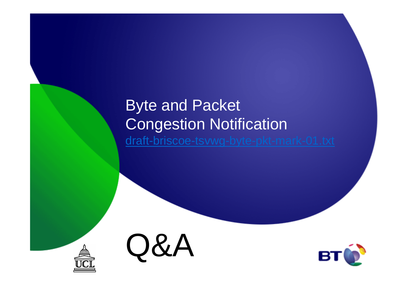#### Byte and Packet Congestion Notificationdraft-briscoe-tsvwg-byte-pkt-mark-01.txt





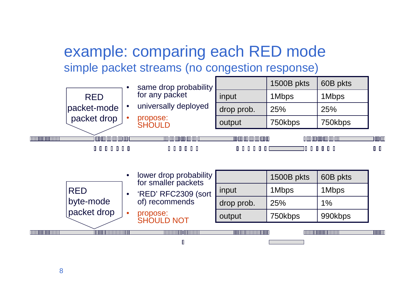#### example: comparing each RED modesimple packet streams (no congestion response)